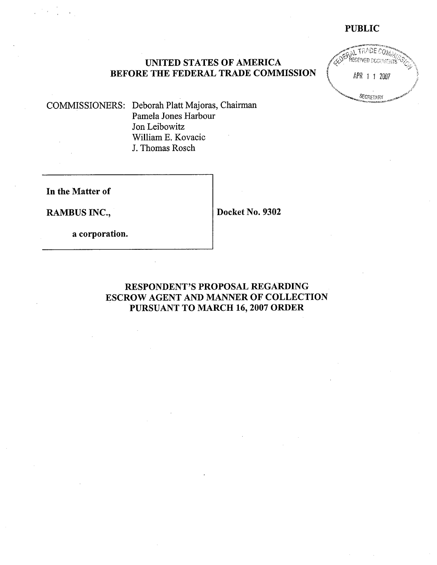# **PUBLIC**



# UNITED STATES OF AMERICA<br>
BEFORE THE FEDERAL TRADE COMMISSION (APR 1 1 2007

COMMISSIONERS: Deborah Platt Majoras, Chairman Pamela Jones Harbour Jon Leibowitz William E. Kovacic J. Thomas Rosch

**In the Matter of** 

**RAMBUS INC., Docket No. 9302** 

**a corporation.** 

# **RESPONDENT'S PROPOSAL REGARDING ESCROW AGENT AND MANNER OF COLLECTION PURSUANT TO MARCH 16,2007 ORDER**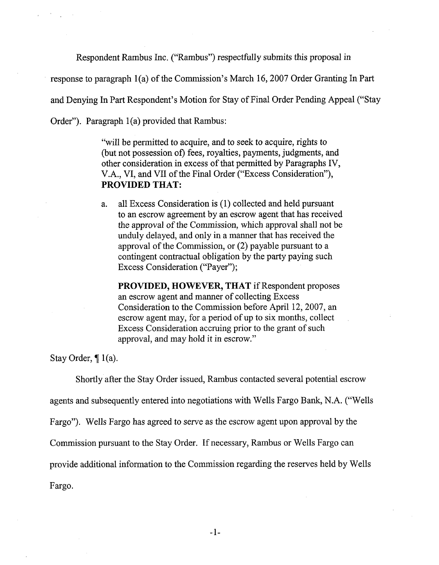Respondent Rambus Inc. ("Rambus") respectfully submits this proposal in

response to paragraph l(a) of the Commission's March 16,2007 Order Granting In Part

and Denying In Part Respondent's Motion for Stay of Final Order Pending Appeal ("Stay

Order"). Paragraph  $1(a)$  provided that Rambus:

"will be permitted to acquire, and to seek to acquire, rights to (but not possession of) fees, royalties, payments, judgments, and other consideration in excess of that permitted by Paragraphs IV, V.A., VI, and VII of the Final Order ("Excess Consideration"), **PROVIDED THAT:** 

a. all Excess Consideration is (1) collected and held pursuant to an escrow agreement by an escrow agent that has received the approval of the Commission, which approval shall not be unduly delayed, and only in a manner that has received the approval of the Commission, or (2) payable pursuant to a contingent contractual obligation by the party paying such Excess Consideration ("Payer");

**PROVIDED, HOWEVER, THAT** if Respondent proposes an escrow agent and manner of collecting Excess Consideration to the Commission before April 12,2007, an escrow agent may, for a period of up to six months, collect Excess Consideration accruing prior to the grant of such approval, and may hold it in escrow."

Stay Order,  $\P$  1(a).

Shortly after the Stay Order issued, Rambus contacted several potential escrow

agents and subsequently entered into negotiations with Wells Fargo Bank, N.A. ("Wells

Fargo"). Wells Fargo has agreed to serve as the escrow agent upon approval by the

Commission pursuant to the Stay Order. If necessary, Rambus or Wells Fargo can

provide additional information to the Commission regarding the reserves held by Wells

Fargo.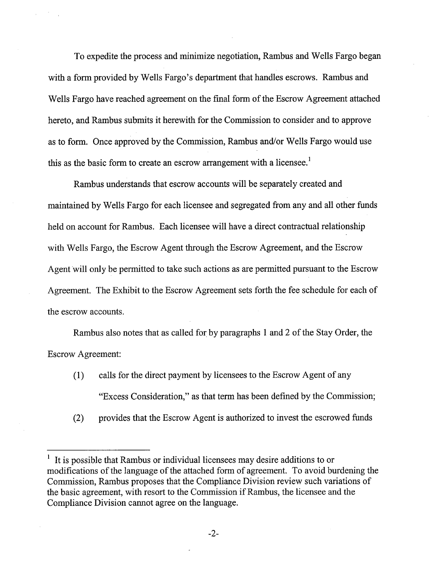To expedite the process and minimize negotiation, Rambus and Wells Fargo began with a form provided by Wells Fargo's department that handles escrows. Rambus and Wells Fargo have reached agreement on the final form of the Escrow Agreement attached hereto, and Rambus submits it herewith for the Commission to consider and to approve as to form. Once approved by the Commission, Rambus and/or Wells Fargo would use this as the basic form to create an escrow arrangement with a licensee.<sup>1</sup>

Rambus understands that escrow accounts will be separately created and maintained by Wells Fargo for each licensee and segregated from any and all other funds held on account for Rambus. Each licensee will have a direct contractual relationship with Wells Fargo, the Escrow Agent through the Escrow Agreement, and the Escrow Agent will only be permitted to take such actions as are permitted pursuant to the Escrow Agreement. The Exhibit to the Escrow Agreement sets forth the fee schedule for each of the escrow accounts.

Rambus also notes that as called for by paragraphs 1 and 2 of the Stay Order, the Escrow Agreement:

- (1) calls for the direct payment by licensees to the Escrow Agent of any "Excess Consideration," as that term has been defined by the Commission;
- (2) provides that the Escrow Agent is authorized to invest the escrowed funds

It is possible that Rambus or individual licensees may desire additions to or modifications of the language of the attached form of agreement. To avoid burdening the Commission, Rambus proposes that the Compliance Division review such variations of the basic agreement, with resort to the Commission if Rambus, the licensee and the Compliance Division cannot agree on the language. 1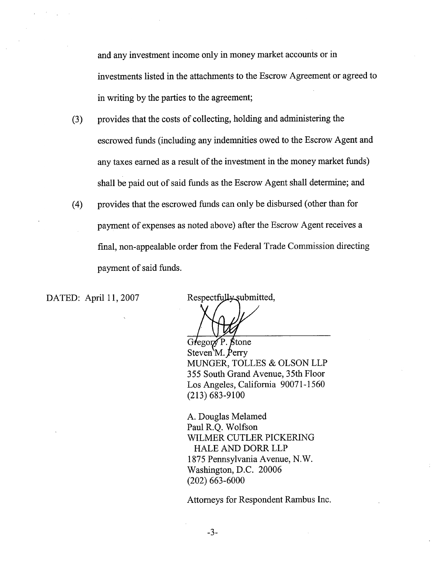and any investment income only in money market accounts or in investments listed in the attachments to the Escrow Agreement or agreed to in writing by the parties to the agreement;

- (3) provides that the costs of collecting, holding and administering the escrowed funds (including any indemnities owed to the Escrow Agent and any taxes earned as a result of the investment in the money market funds) shall be paid out of said funds as the Escrow Agent shall determine; and
- (4) provides that the escrowed funds can only be disbursed (other than for payment of expenses as noted above) after the Escrow Agent receives a final, non-appealable order from the Federal Trade Commission directing payment of said funds.

DATED: April 11, 2007

Respectfully submitted,

Gregory P. Stone Steven<sup>'</sup>M. Perry MUNGER, TOLLES & OLSON LLP 355 South Grand Avenue, 35th Floor Los Angeles, California 90071-1560 (213) 683-9100

A. Douglas Melamed Paul R.Q. Wolfson WILMER CUTLER PICKERING HALE AND DORR LLP 1 875 Pennsylvania Avenue, N. W. Washington, D.C. 20006 (202) 663-6000

Attorneys for Respondent Rambus Inc.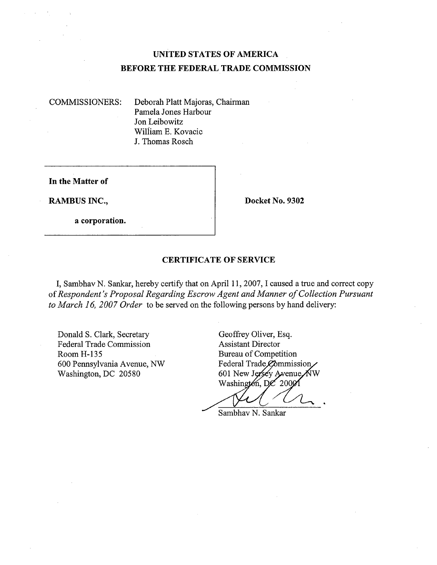# **UNITED STATES OF AMERICA BEFORE THE FEDERAL TRADE COMMISSION**

COMMISSIONERS: Deborah Platt Majoras, Chairman Pamela Jones Harbour Jon Leibowitz William E. Kovacic J. Thomas Rosch

**In the Matter of** 

**RAMBUS INC., Docket No. 9302** 

**a corporation.** 

## **CERTIFICATE OF SERVICE**

I, Sambhav N. Sankar, hereby certify that on April 11, 2007, I caused a true and correct copy of *Respondent's Proposal Regarding Escrow Agent and Manner of Collection Pursuant to March 16, 2007 Order* to be served on the following persons by hand delivery:

Donald S. Clark, Secretary Geoffrey Oliver, Esq.<br>Federal Trade Commission Assistant Director Federal Trade Commission Room H-135<br>600 Pennsylvania Avenue, NW Federal Trade Commission 600 Pennsylvania Avenue, NW Washington, DC 20580

601 New Jersey Avenue NW Washington, DC 20001

Sambhav N. Sankar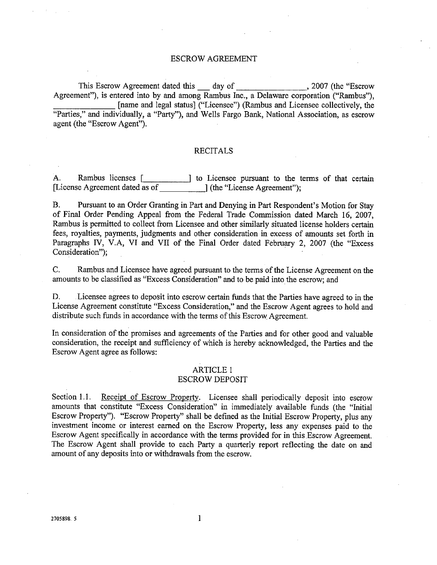#### ESCROW AGREEMENT

This Escrow Agreement dated this -day of ,2007 (the "Escrow Agreement"), is entered into by and among Rambus Inc., a Delaware corporation ("Rambus"), [name and legal status] ("Licensee") (Rambus and Licensee collectively, the "Parties," and individually, a "Party"), and Wells Fargo Bank, National Association, as escrow agent (the "Escrow Agent").

#### RECITALS

**A.** Rambus licenses r 1 to Licensee pursuant to the terms of that certain [License Agreement dated as of \_\_\_\_\_\_\_\_\_\_\_\_\_\_] (the "License Agreement");

B. Pursuant to an Order Granting in Part and Denying in Part Respondent's Motion for Stay of Final Order Pending Appeal from the Federal Trade Commission dated March 16, 2007, Rambus is permitted to collect from Licensee and other similarly situated license holders certain fees, royalties, payments, judgments and other consideration in excess of amounts set forth in Paragraphs IV, V.A, VI and VII of the Final Order dated February 2, 2007 (the "Excess Consideration");

C. Rambus and Licensee have agreed pursuant to the terms of the License Agreement on the amounts to be classified as "Excess Consideration" and to be paid into the escrow; and

D. Licensee agrees to deposit into escrow certain funds that the Parties have agreed to in the License Agreement constitute "Excess Consideration," and the Escrow Agent agrees to hold and distribute such funds in accordance with the terms of this Escrow Agreement.

In consideration of the promises and agreements of the Parties and for other good and valuable consideration, the receipt and sufficiency of which is hereby acknowledged, the Parties and the Escrow Agent agree as follows:

# ARTICLE 1

### ESCROW DEPOSIT

Section 1.1. Receipt of Escrow Property. Licensee shall periodically deposit into escrow amounts that constitute "Excess Consideration" in immediately available funds (the "Initial Escrow Property"). "Escrow Property" shall be defined as the Initial Escrow Property, plus any investment income or interest earned on the Escrow Property, less any expenses paid to the Escrow Agent specifically in accordance with the terms provided for in this Escrow Agreement. The Escrow Agent shall provide to each Party a quarterly report reflecting the date on and amount of any deposits into or withdrawals from the escrow.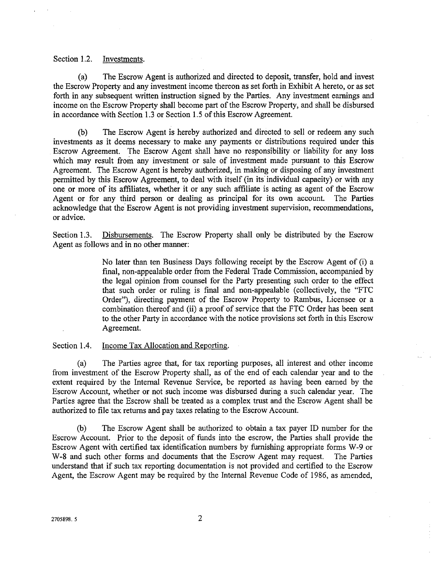#### Section 1.2. Investments.

(a) The Escrow Agent is authorized and directed to deposit, transfer, hold and invest the Escrow Property and any investment income thereon as set forth in Exhibit A hereto, or as set forth in any subsequent written instruction signed by the Parties. Any investment earnings and income on the Escrow Property shall become part of the Escrow Property, and shall be disbursed in accordance with Section 1.3 or Section 1.5 of this Escrow Agreement.

(b) The Escrow Agent is hereby authorized and directed to sell or redeem any such investments as it deems necessary to make any payments or distributions required under this Escrow Agreement. The Escrow Agent shall have no responsibility or liability for any loss which may result from any investment or sale of investment made pursuant to this Escrow Agreement. The Escrow Agent is hereby authorized, in making or disposing of any investment permitted by this Escrow Agreement, to deal with itself (in its individual capacity) or with any one or more of its affiliates, whether it or any such affiliate is acting as agent of the Escrow Agent or for any third person or dealing as principal for its own account. The Parties acknowledge that the' Escrow Agent is not providing investment supervision, recommendations, or advice.

Section 1.3. Disbursements. The Escrow Property shall only be distributed by the Escrow Agent as follows and in no other manner:

> No later than ten Business Days following receipt by the Escrow Agent of (i) a final, non-appealable order from the Federal Trade Commission, accompanied by the legal opinion from counsel for the Party presenting such order to the effect that such order or ruling is final and non-appealable (collectively, the "FTC Order"), directing payment of the Escrow Property to Rambus, Licensee or a combination thereof and (ii) a proof of service that the FTC Order has been sent to the other Party in accordance with the notice provisions set forth in this Escrow Agreement.

Section 1.4. Income Tax Allocation and Reporting.

(a) The Parties agree that, for tax reporting purposes, all interest and other income from investment of the Escrow Property shall, as of the end of each calendar year and to the extent required by the Internal Revenue Service, be reported as having been earned by the Escrow Account, whether or not such income was disbursed during a such calendar year. The Parties agree that the Escrow shall be treated as a complex trust and the Escrow Agent shall be authorized to file tax returns and pay taxes relating to the Escrow Account.

(b) The Escrow Agent shall be authorized to obtain a tax payer ID number for the Escrow Account. Prior to the deposit of funds into the escrow, the Parties shaIl provide the Escrow Agent with certified tax identification numbers by furnishing appropriate forms W-9 or W-8 and such other forms and documents that the Escrow Agent may request. The Parties W-8 and such other forms and documents that the Escrow Agent may request. understand that if such tax reporting documentation is not provided and certified to the Escrow Agent, the Escrow Agent may be required by the Internal Revenue Code of 1986, as amended,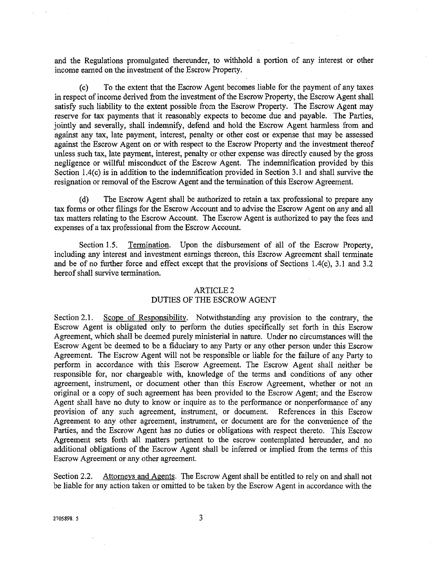and the Regulations promulgated thereunder, to withhold a portion of any interest or other income earned on the investment of the Escrow Property.

(c) To the extent that the Escrow Agent becomes liable for the payment of any taxes in respect of income derived from the investment of the Escrow Property, the Escrow Agent shall satisfy such liability to the extent possible from the Escrow Property. The Escrow Agent may reserve for tax payments that it reasonably expects to become due and payable. The Parties, jointly and severally, shall indemnify, defend and hold the Escrow Agent harmless from and against any tax, late payment, interest, penalty or other cost or expense that may be assessed against the Escrow Agent on or with respect to the Escrow Property and the investment thereof unless such tax, late payment, interest, penalty or other expense was directly caused by the gross negligence or willful misconduct of the Escrow Agent. The indemnification provided by this Section 1.4(c) is in addition to the indemnification provided in Section 3.1 and shall survive the resignation or removal of the Escrow Agent and the termination of this Escrow Agreement.

(d) The Escrow Agent shall be authorized to retain a tax professional to prepare any tax forms or other filings for the Escrow Account and to advise the Escrow Agent on any and all tax matters relating to the Escrow Account. The Escrow Agent is authorized to pay the fees and expenses of a tax professional from the Escrow Account.

Section 1.5. Termination. Upon the disbursement of all of the Escrow Property, including any interest and investment earnings thereon, this Escrow Agreement shall terminate and be of no further force and effect except that the provisions of Sections 1.4(c), 3.1 and 3.2 hereof shall survive termination.

#### ARTICLE 2

#### DUTIES OF THE ESCROW AGENT

Section 2.1. Scope of Responsibility. Notwithstanding any provision to the contrary, the Escrow Agent is obligated only to perform the duties specifically set forth in this Escrow Agreement, which shall be deemed purely ministerial in nature. Under no circumstances will the Escrow Agent be deemed to be a fiduciary to any Party or any other person under this Escrow Agreement. The Escrow Agent will not be responsible or liable for the failure of any Party to perform in accordance with this Escrow Agreement. The Escrow Agent shall neither be responsible for, nor chargeable with, knowledge of the terms and conditions of any other agreement, instrument, or document other than this Escrow Agreement, whether or not an original or a copy of such agreement has been provided to the Escrow Agent; and the Escrow Agent shall have no duty to know or inquire as to the performance or nonperformance of any provision of any such agreement, instrument, or document. References in this Escrow Agreement to any other agreement, instrument, or document are for the convenience of the Parties, and the Escrow Agent has no duties or obligations with respect thereto. This Escrow Agreement sets forth all matters pertinent to the escrow contemplated hereunder, and no additional obligations of the Escrow Agent shall be inferred or implied from the terms of this Escrow Agreement or any other agreement.

Section 2.2. Attorneys and Agents. The Escrow Agent shall be entitled to rely on and shall not be liable for any action taken or omitted to be taken by the Escrow Agent in accordance with the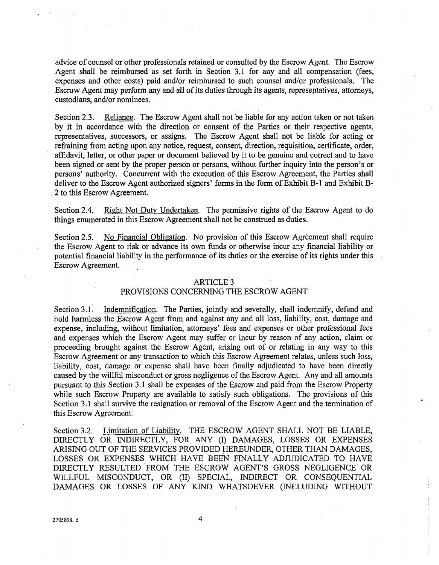advice of counsel or other professionals retained or consulted by the Escrow Agent. The Escrow Agent shall be reimbursed as set forth in Section 3.1 for any and all compensation (fees, expenses and other costs) paid and/or reimbursed to such counsel and/or professionals. The Escrow Agent may perform any and all of its duties through its agents, representatives, attorneys, custodians, and/or nominees.

Section 2.3. Reliance. The Escrow Agent shall not be liable for any action taken or not taken by it in accordance with the direction or consent of the Parties or their respective agents, representatives, successors, or assigns. The Escrow Agent shall not be liable for acting or refraining from acting upon any notice, request, consent, direction, requisition, certificate, order, affidavit, letter, or other paper or document believed by it to be genuine and correct and to have been signed or sent by the proper person or persons, without further inquiry into the person's or persons' authority. Concurrent with the execution of this Escrow Agreement, the Parties shall deliver to the Escrow Agent authorized signers' forms in the form of Exhibit B-1 and Exhibit B-**2** to this Escrow Agreement.

Section 2.4. **Right Not Duty Undertaken.** The permissive rights of the Escrow Agent to do things enumerated in this Escrow Agreement shall not be construed as duties.

Section 2.5. No Financial Obligation. No provision of this Escrow Agreement shall require the Escrow Agent to risk or advance its own funds or otherwise incur any financial liability or potential financial liability in the performance of its duties or the exercise of its rights under this Escrow Agreement.

#### ARTICLE **3**

#### PROVISIONS CONCERNING THE ESCROW AGENT

Section 3.1. Indemnification. The Parties, jointly and severally, shall indemnify, defend and hold harmless the Escrow Agent from and against any and all loss, liability, cost, damage and expense, including, without limitation, attorneys' fees and expenses or other professional fees and expenses which the Escrow Agent may suffer or incur by reason of any action, claim or proceeding brought against the Escrow Agent, arising out of or relating in any way to this Escrow Agreement or any transaction to which this Escrow Agreement relates, unless such loss, liability, cost, damage or expense shall have been finally adjudicated to have been directly caused by the willful misconduct or gross negligence of the Escrow Agent. Any and all amounts pursuant *to* this Section 3.1 shall be expenses of the Escrow and paid from the Escrow Property while such Escrow Property are available to satisfy such obligations. The provisions of this Section 3.1 shall survive the resignation or removal of the Escrow Agent and the termination of this Escrow Agreement.

Section **3.2.** Limitation of Liability. THE ESCROW AGENT SHALL NOT BE LIABLE, DIRECTLY OR INDIRECTLY, FOR ANY (I) DAMAGES, LOSSES OR EXPENSES ARISING OUT OF THE SERVICES PROVIDED HEREUNDER, OTHER THAN DAMAGES, LOSSES OR EXPENSES WHICH HAVE BEEN FINALLY ADJUDICATED TO HAVE DIRECTLY RESULTED 'FROM THE ESCROW AGENT'S GROSS NEGLIGENCE OR WILLFUL MISCONDUCT, OR (11) SPECIAL, INDIRECT OR CONSEQUENTIAL DAMAGES OR LOSSES OF ANY KIND WHATSOEVER (INCLUDING WITHOUT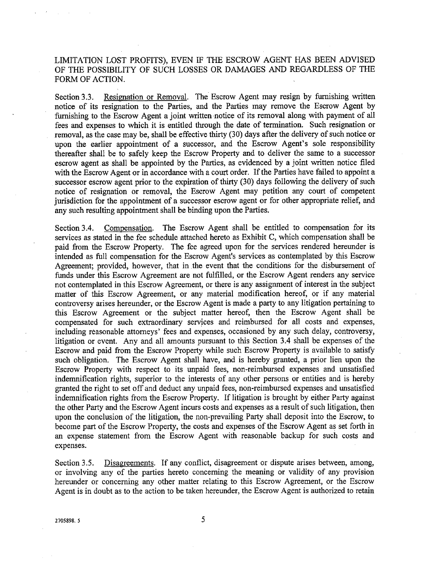LIMITATION LOST PROFITS), EVEN IF THE ESCROW AGENT HAS BEEN ADVISED OF THE POSSIB1LITY OF SUCH LOSSES OR DAMAGES AND REGARDLESS OF THE FORM OF ACTION.

Section 3.3. Resignation or Removal. The Escrow Agent may resign by furnishing written notice of its resignation to the Parties, and the Parties may remove the Escrow Agent by furnishing to the Escrow Agent a joint written notice of its removal along with payment of all fees and expenses to which it is entitled through the date of termination. Such resignation or removal, as the case may be, shall be effective thirty (30) days after the delivery of such notice or upon the earlier appointment of a successor, and the Escrow Agent's sole responsibility thereafter shall be to safely keep the Escrow Property and to deliver the same to a successor escrow agent as shall be appointed by the Parties, as evidenced by a joint written notice filed with the Escrow Agent or in accordance with a court order. If the Parties have failed to appoint a successor escrow agent prior to the expiration of thirty (30) days following the delivery of such notice of resignation or removal, the Escrow Agent may petition any court of competent jurisdiction for the appointment of a successor escrow agent or for other appropriate relief, and any such resulting appointment shall be binding upon the Parties.

Section 3.4. Compensation. The Escrow Agent shall be entitled to compensation for its services as stated in the fee schedule attached hereto as Exhibit C, which compensation shall be paid fiom the Escrow Property. The fee agreed upon for the services rendered hereunder is intended as full compensation for the Escrow Agent's services as contemplated by this Escrow Agreement; provided, however, that in the event that the conditions for the disbursement of funds under this Escrow Agreement are not fulfilled, or the Escrow Agent renders any service not contemplated in this Escrow Agreement, or there is any assignment of interest in the subject matter of this Escrow Agreement, or any material modification hereof, or if any material controversy arises hereunder, or the Escrow Agent is made a party to any litigation pertaining to this Escrow Agreement or the subject matter hereof, then the Escrow Agent shall be compensated for such extraordinary services and reimbursed for all costs and expenses, including reasonable attorneys' fees and expenses, occasioned by any such delay, controversy, litigation or event. Any and all amounts pursuant to this Section **3.4** shall be expenses of the Escrow and paid from the Escrow Property while such Escrow Property is available to satisfy such obligation. The Escrow Agent shall have, and is hereby granted, a prior lien upon the Escrow Property with respect to its unpaid fees, non-reimbursed expenses and unsatisfied indemnification rights, superior to the interests of any other persons or entities and is hereby granted the right to set off and deduct any unpaid fees, non-reimbursed expenses and unsatisfied indemnification rights from the Escrow Property. If litigation is brought by either Party against the other Party and the Escrow Agent incurs costs and expenses as a result of such litigation, then upon the conclusion of the litigation, the non-prevailing Party shall deposit into the Escrow, to become part of the Escrow Property, the costs and expenses of the Escrow Agent as set forth in an expense statement from the Escrow Agent with reasonable backup for such costs and expenses.

Section 3.5. Disagreements. If any conflict, disagreement or dispute arises between, among, or involving any of the parties hereto concerning the meaning or validity of any provision hereunder or concerning any other matter relating to this Escrow Agreement, or the Escrow Agent is in doubt as to the action to be taken hereunder, the Escrow Agent is authorized to retain

5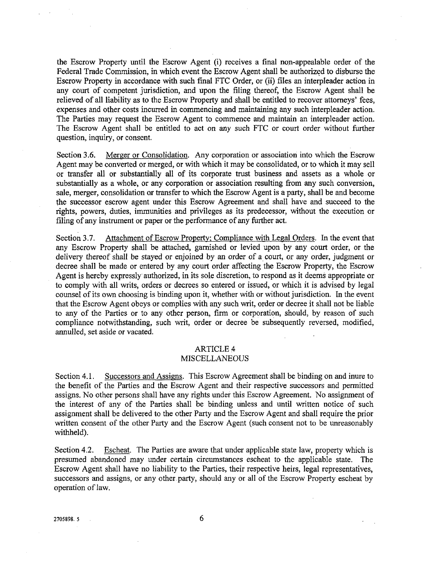the Escrow Property until the Escrow Agent (i) receives a final non-appealable order of the Federal Trade Commission, in which event the Escrow Agent shall be authorized to disburse the Escrow Property in accordance with such final FTC Order, or (ii) files an interpleader action in any court of competent jurisdiction, and upon the filing thereof, the Escrow Agent shall be relieved of all liability as to the Escrow Property and shall be entitled to recover attorneys' fees, expenses and other costs incurred in commencing and maintaining any such interpleader action. The Parties may request the Escrow Agent to commence and maintain an interpleader action. The Escrow Agent shall be entitled to act on any such FTC or court order without further question, inquiry, or consent.

Section **3.6.** Merger or Consolidation. Any corporation or association into which fhe Escrow Agent may be converted or merged, or with which it may be consolidated, or to which it may sell or transfer all or substantially all of its corporate trust business and assets **as** a whole or substantially as a whole, or any corporation or association resulting from any such conversion, sale, merger, consolidation or transfer to which the Escrow Agent is a party, shall be and become the successor escrow agent under this Escrow Agreement and shall have and succeed to the rights, powers, duties, immunities and privileges as its predecessor, without the execution or filing of any instrument or paper or the performance of any further act.

Section 3.7. Attachment of Escrow Property; Compliance with Legal Orders. In the event that any Escrow Property shall be attached, garnished or levied upon by any court order, or the delivery thereof shall be stayed or enjoined by an order of a court, or any order, judgment or decree shall be made or entered by any court order affecting the Escrow Property, the Escrow Agent is hereby expressly authorized, in its sole discretion, to respond as it deems appropriate or to comply with all writs, orders or decrees so entered or issued, or which it is advised by legal counsel of its own choosing is binding upon it, whether with or without jurisdiction. In the event that the Escrow Agent obeys or complies with any such writ, order or decree it shall not be liable to any of the Parties or to any other person, firm or corporation, should, by reason of such compliance notwithstanding, such writ, order or decree be subsequently reversed, modified, annulled, set aside or vacated.

## ARTICLE 4

#### MISCELLANEOUS

Section 4.1. Successors and Assigns. This Escrow Agreement shall be binding on and inure to the benefit of the Parties and the Escrow Agent and their respective successors and permitted assigns. No other persons shall have any rights under this Escrow Agreement. No assignment of the interest of any of the Parties shall be binding unless and until written notice of such assignment shall be delivered to the other Party and the Escrow Agent and shall require the prior written consent of the other Party and the Escrow Agent (such consent not to be unreasonably withheld).

Section 4.2. Escheat. The Parties are aware that under applicable state law, property which is presumed abandoned may under certain circumstances escheat to the applicable state. The Escrow Agent shall have no liability to the Parties, their respective heirs, legal representatives, successors and assigns, or any other party, should any or all of the Escrow Property escheat by operation of law.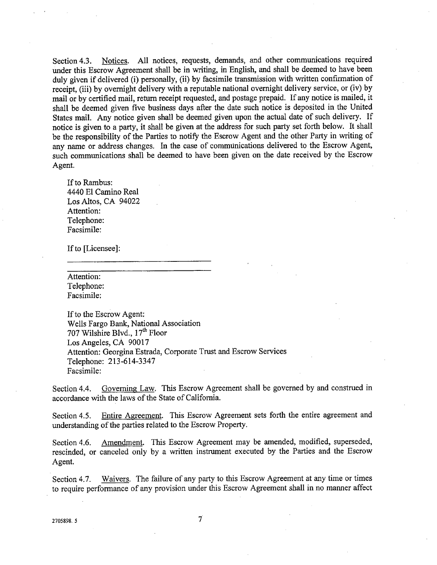Section 4.3. Notices. All notices, requests, demands, and other communications required under this Escrow Agreement shall be in writing, in English, and shall be deemed to have been duly given if delivered (i) personally, (ii) by facsimile transmission with written confirmation of receipt, (iii) by overnight delivery with a reputable national overnight delivery service, or (iv) by mail or by certified mail, return receipt requested, and postage prepaid. If any notice is mailed, it shall be deemed given five business days after the date such notice is deposited in the United States mail. Any notice given shall be deemed given upon the actual date of such delivery. If notice is given to a party, it shall be given at the address for such party set forth below. It shall be the responsibility of the Parties to notify the Escrow Agent and the other **Party** in writing of any name or address changes. In the case of communications delivered to the Escrow Agent, such communications shall be deemed to have been given on the date received by the Escrow Agent.

If to Rambus: 4440 El Camino Real Los Altos, CA 94022 Attention: Telephone: Facsimile:

If to [Licensee]:

Attention: Telephone: Facsimile:

If to the Escrow Agent: Wells Fargo Bank, National Association 707 Wilshire Blvd.,  $17<sup>th</sup>$  Floor Los Angeles, CA 90017 Attention: Georgina Estrada, Corporate Trust and Escrow Services Telephone: 213-614-3347 Facsimile:

Section 4.4. Governing Law. This Escrow Agreement shall be governed by and construed in accordance with the laws of the State of California.

Section 4.5. Entire Agreement. This Escrow Agreement sets forth the entire agreement and understanding of the parties related to the Escrow Property.

Section 4.6. Amendment. This Escrow Agreement may be amended, modified, superseded, rescinded, or canceled only by a written instrument executed by the Parties and the Escrow Agent.

Section 4.7. Waivers. The failure of any party to this Escrow Agreement at any time or times to require performance of any provision under this Escrow Agreement shall in no manner affect

 $\overline{7}$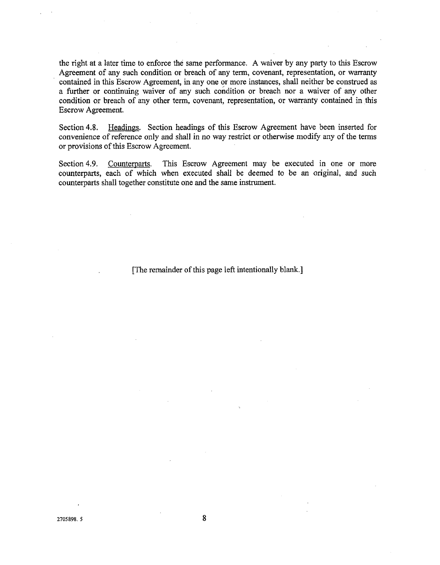the right at a later time to enforce the same performance. **A** waiver by any party to this Escrow Agreement of any such condition or breach of any term, covenant, representation, or warranty contained in this Escrow Agreement, in any one or more instances, shall neither be construed as a further or continuing waiver of any such condition or breach nor a waiver of any other condition or breach of any other term, covenant, representation, or warranty contained in this Escrow Agreement.

Section 4.8. Headings. Section headings of this Escrow Agreement have been inserted for convenience of reference only and shall in no way restrict or otherwise modify any of the terms or provisions of this Escrow Agreement.

Section 4.9. Counterparts. This Escrow Agreement may be executed in one or more counterparts, each of which when executed shall be deemed to be **an** original, and such counterparts shall together constitute one and the same instrument.

[The remainder of this page left intentionally blank.]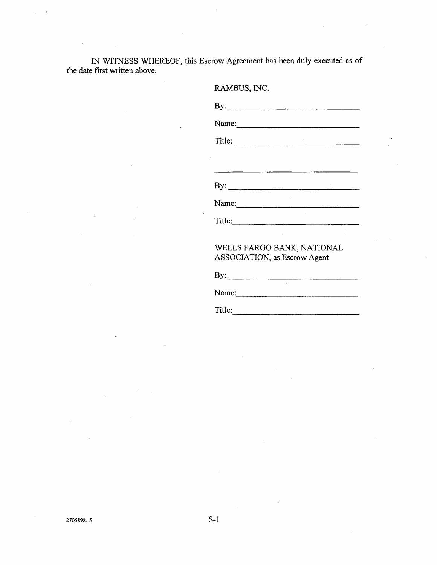IN WITNESS WHEREOF, this Escrow Agreement has been duly executed as of the date first written above.

|        | By: $\qquad \qquad$                                                |
|--------|--------------------------------------------------------------------|
|        | Name:                                                              |
| Title: |                                                                    |
|        |                                                                    |
|        | WELLS FARGO BANK, NATIONAL<br><b>ASSOCIATION</b> , as Escrow Agent |
| By:    |                                                                    |

Name: 2008. 2008. 2010. 2010. 2010. 2010. 2010. 2010. 2010. 2010. 2010. 2010. 2010. 2010. 2010. 2010. 2010. 20

Title: The contract of the contract of the contract of the contract of the contract of the contract of the contract of the contract of the contract of the contract of the contract of the contract of the contract of the con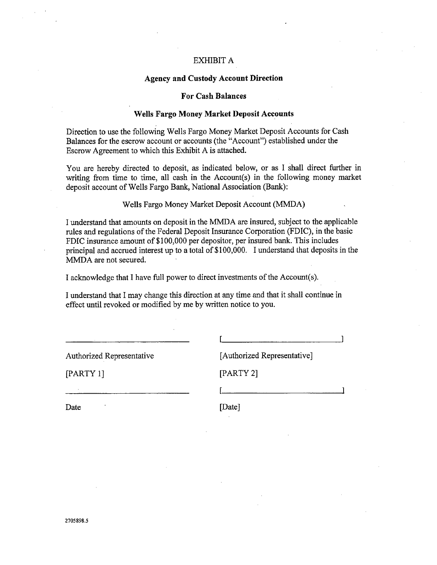#### EXHIBIT A

## **Agency and Custody Account Direction**

#### **For Cash Balances**

#### **Wells Fargo Money Market Deposit Accounts**

Direction to use the following Wells Fargo Money Market Deposit Accounts for Cash Balances for the escrow account or accounts (the "Account") established under the Escrow Agreement to which this Exhibit A is attached.

You are hereby directed to deposit, as indicated below, or as I shall direct further in writing from time to time, all cash in the Account(s) in the following money market deposit account of Wells Fargo Bank, National Association (Bank):

Wells Fargo Money Market Deposit Account (MMDA)

I understand that amounts on deposit in the MMDA are insured, subject to the applicable rules and regulations of the Federal Deposit Insurance Corporation (FDIC), in the basic FDIC insurance amount of \$100,000 per depositor, per insured bank. This includes principal and accrued interest up to a total of \$100,000. I understand that deposits in the MMDA are not secured.

**I** acknowledge that I have full power to direct investments of the Account(s).

I understand that I may change this direction at any time and that it shall continue in effect until revoked or modified by me by written notice to you.

 $\mathbf{I}$  is a set of  $\mathbf{I}$ 

I

[Authorized Representative]

[PARTY 1] [PARTY 2]

Date [Date]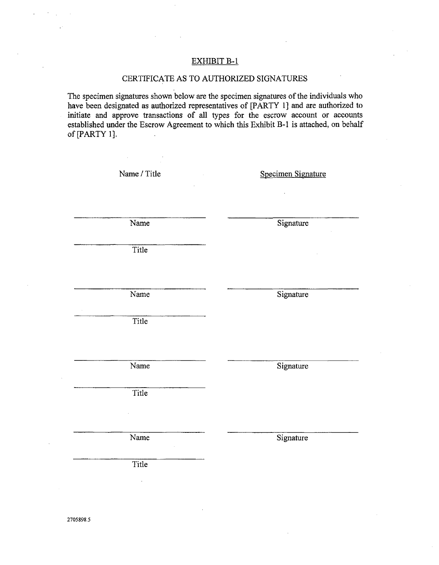# EXHIBIT B-1

# CERTIFICATE AS TO AUTHORIZED SIGNATURES

The specimen signatures shown below are the specimen signatures of the individuals who have been designated as authorized representatives of [PARTY l] and are authorized to initiate and approve transactions of all types for the escrow account or accounts established under the Escrow Agreement to which this Exhibit B-1 is attached, on behalf of [PARTY 1].

| Name / Title       | Specimen Signature |
|--------------------|--------------------|
|                    | $\cdot$            |
| Name               | Signature          |
| Title              |                    |
| Name               | Signature          |
|                    |                    |
| $\overline{Title}$ |                    |
|                    |                    |
| Name               | Signature          |
| Title              |                    |
|                    |                    |
| Name               | Signature          |
| Title              |                    |
|                    |                    |
|                    |                    |
| 2705898.5          |                    |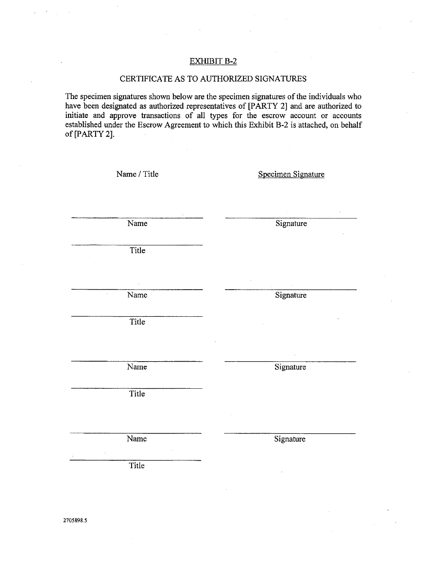## EXHIBIT B-2

#### CERTIFICATE AS TO AUTHORIZED SIGNATURES

The specimen signatures shown below are the specimen signatures of the individuals who have been designated **as** authorized representatives of [PARTY 21 and are authorized to initiate and approve transactions of all types for the escrow account or accounts established under the Escrow Agreement to which this Exhibit B-2 is attached, on behalf of [PARTY 21.

| Name / Title | Specimen Signature |
|--------------|--------------------|
|              |                    |
|              |                    |
|              |                    |
| Name         | Signature          |
|              |                    |
| Title        |                    |
|              |                    |
|              |                    |
|              |                    |
| Name         | Signature          |
|              |                    |
| Title        |                    |
|              |                    |
|              |                    |
| Name         | Signature          |
|              |                    |
|              |                    |
| Title        |                    |
|              |                    |
|              |                    |
| Name         | Signature          |
|              |                    |
| Title        |                    |
|              |                    |
|              |                    |
|              |                    |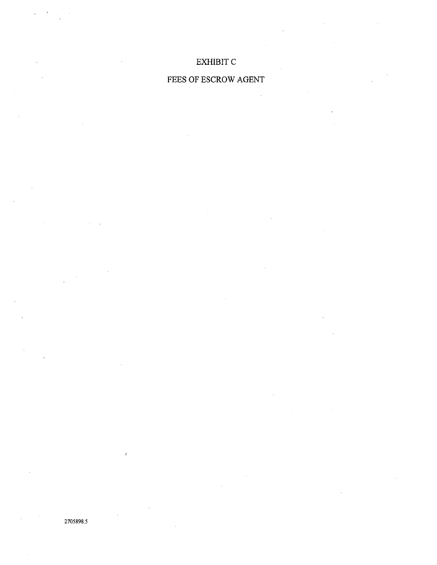# EXHIBIT C

# FEES OF ESCROW AGENT

2705898.5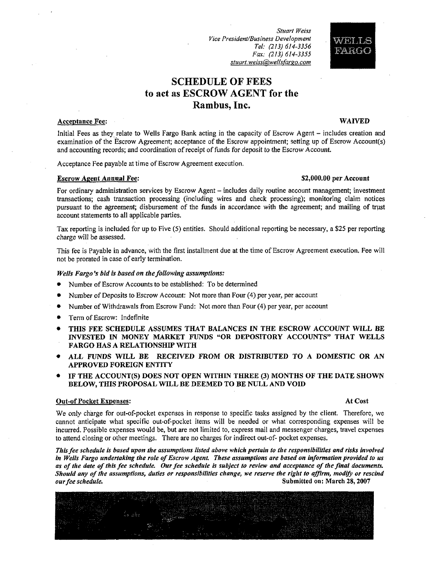**Stuart Weiss** Vice President/Business Development Tel: (213) 614-3356 Fax: (213) 614-3355 stuart.weiss@wellsfargo.com

# **SCHEDULE OF FEES to act as ESCROW AGENT for the Rarnbus, Inc.**

#### **Acceptance Fee: WAIVED**

FARGO

Initial Fees as they relate to Wells Fargo Bank acting in the capacity of Escrow Agent -includes creation and examination of the Escrow Agreement; acceptance of the Escrow appointment; setting up of Escrow Account(s) and accounting records; and coordination of receipt of funds for deposit to the Escrow Account.

Acceptance Fee payable at time of Escrow Agreement execution.

#### **Escrow Agent Annual Fee: 82,000.00 per Account 82,000.00 per Account**

For ordinary administration services by Escrow Agent – includes daily routine account management; investment transactions; cash transaction processing (including wires and check processing); monitoring claim notices .pursuant to the agreement; disbursement of the funds in accordance with the agreement; and mailing of trust account statements to all applicable parties.

Tax reporting is included for up to Five (5) entities. Should additional reporting be necessary, a \$25 per reporting charge will be assessed.

This fee is Payable in advance, with the first installment due at the time of Escrow Agreement execution. Fee will not be prorated in case of early termination.

#### *Wells Fargo's bid is based on the following assumptions:*

- $\bullet$ Number of Escrow Accounts to be established: To be determined
- Number of Deposits to Escrow Account: Not more than Four (4) per year, per account
- Number of Withdrawals from Escrow Fund: Not more than Four (4) per year, per account
- Term of Escrow: Indefinite
- **THIS FEE SCHEDULE ASSUMES THAT BALANCES IN THE ESCROW ACCOUNT WILL BE JNVESTED IN MONEY MARKET FUNDS "OR DEPOSITORY ACCOUNTS" THAT WELLS FARGO HAS A RELATIONSHIP WITH**
- **ALL FUNDS WILL BE RECEIVED FROM OR DISTRIBUTED TO A DOMESTIC OR AN APPROVED FOREIGN ENTITY**
- **IF THE ACCOUNT(S) DOES NOT OPEN WITHIN THREE (3) MONTHS OF THE DATE SHOWN BELOW, THIS PROPOSALWILL BE DEEMED TO BE NULL AND VOLD**

#### **Out-of Pocket Expenses: At Cost**

We only-charge for out-of-pocket expenses in response to specific tasks assigned by the client. Therefore, we cannot anticipate what specific out-of-pocket items will be needed or what corresponding expenses will be incurred. Possible expenses would be, but are not limited to, express mail and messenger charges, travel expenses to attend closing or other meetings. There are no charges for indirect out-of- pocket expenses.

*Thisfee schedule is based upon the assumptions listed above which pertain to the responsibilities and risks involved in Wells Fargo undertaking the role of Escrow Agent. These assumptions are based on information provided to us* as of the date of this fee schedule. Our fee schedule is subject to review and acceptance of the final documents. *Should any of the assumptions, duties or responsibilities change, we reserve the right to affirm, modifi or rescind ourfee schedule.* **Submitted on: March 28,2007**